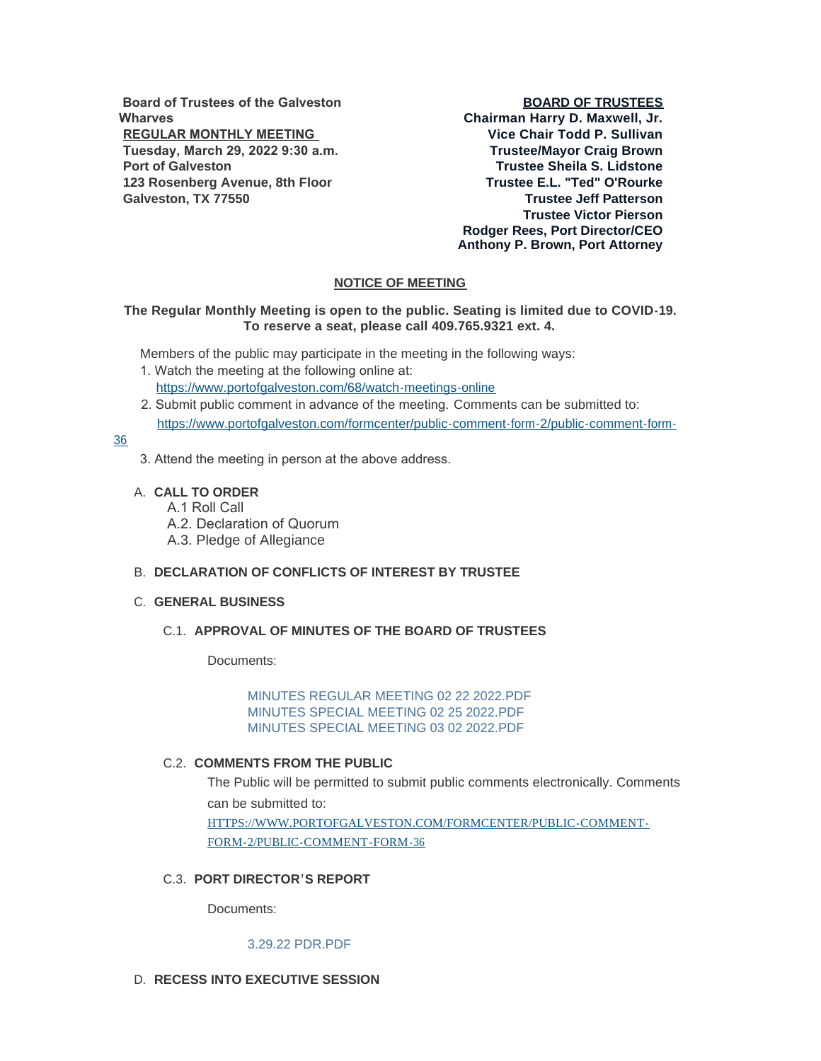**Board of Trustees of the Galveston Wharves REGULAR MONTHLY MEETING Tuesday, March 29, 2022 9:30 a.m. Port of Galveston 123 Rosenberg Avenue, 8th Floor Galveston, TX 77550**

## **BOARD OF TRUSTEES**

**Chairman Harry D. Maxwell, Jr. Vice Chair Todd P. Sullivan Trustee/Mayor Craig Brown Trustee Sheila S. Lidstone Trustee E.L. "Ted" O'Rourke Trustee Jeff Patterson Trustee Victor Pierson Rodger Rees, Port Director/CEO Anthony P. Brown, Port Attorney**

# **NOTICE OF MEETING**

## **The Regular Monthly Meeting is open to the public. Seating is limited due to COVID-19. To reserve a seat, please call 409.765.9321 ext. 4.**

Members of the public may participate in the meeting in the following ways:

- 1. Watch the meeting at the following online at: [https://www.portofgalveston.com/68/watch-meetings-online](https://www.portofgalveston.com/68/Watch-Meetings-Online)
- 2. Submit public comment in advance of the meeting. Comments can be submitted to: [https://www.portofgalveston.com/formcenter/public-comment-form-2/public-comment-form-](https://www.portofgalveston.com/formcenter/public-comment-form-2/public-comment-form-36)

## 36

- 3. Attend the meeting in person at the above address.
- **CALL TO ORDER** A.
	- A.1 Roll Call
	- A.2. Declaration of Quorum
	- A.3. Pledge of Allegiance

### **DECLARATION OF CONFLICTS OF INTEREST BY TRUSTEE** B.

## **GENERAL BUSINESS** C.

## **APPROVAL OF MINUTES OF THE BOARD OF TRUSTEES** C.1.

Documents:

[MINUTES REGULAR MEETING 02 22 2022.PDF](https://www.portofgalveston.com/AgendaCenter/ViewFile/Item/4757?fileID=8449) MINUTES SPECIAL MEETING 02 25 2022 PDF [MINUTES SPECIAL MEETING 03 02 2022.PDF](https://www.portofgalveston.com/AgendaCenter/ViewFile/Item/4757?fileID=8451)

#### **C.2. COMMENTS FROM THE PUBLIC**

The Public will be permitted to submit public comments electronically. Comments can be submitted to: [HTTPS://WWW.PORTOFGALVESTON.COM/FORMCENTER/PUBLIC-COMMENT-](https://www.portofgalveston.com/FORMCENTER/PUBLIC-COMMENT-FORM-2/PUBLIC-COMMENT-FORM-36)FORM-2/PUBLIC-COMMENT-FORM-36

## **PORT DIRECTOR'S REPORT** C.3.

Documents:

#### [3.29.22 PDR.PDF](https://www.portofgalveston.com/AgendaCenter/ViewFile/Item/4758?fileID=8452)

# D. RECESS INTO EXECUTIVE SESSION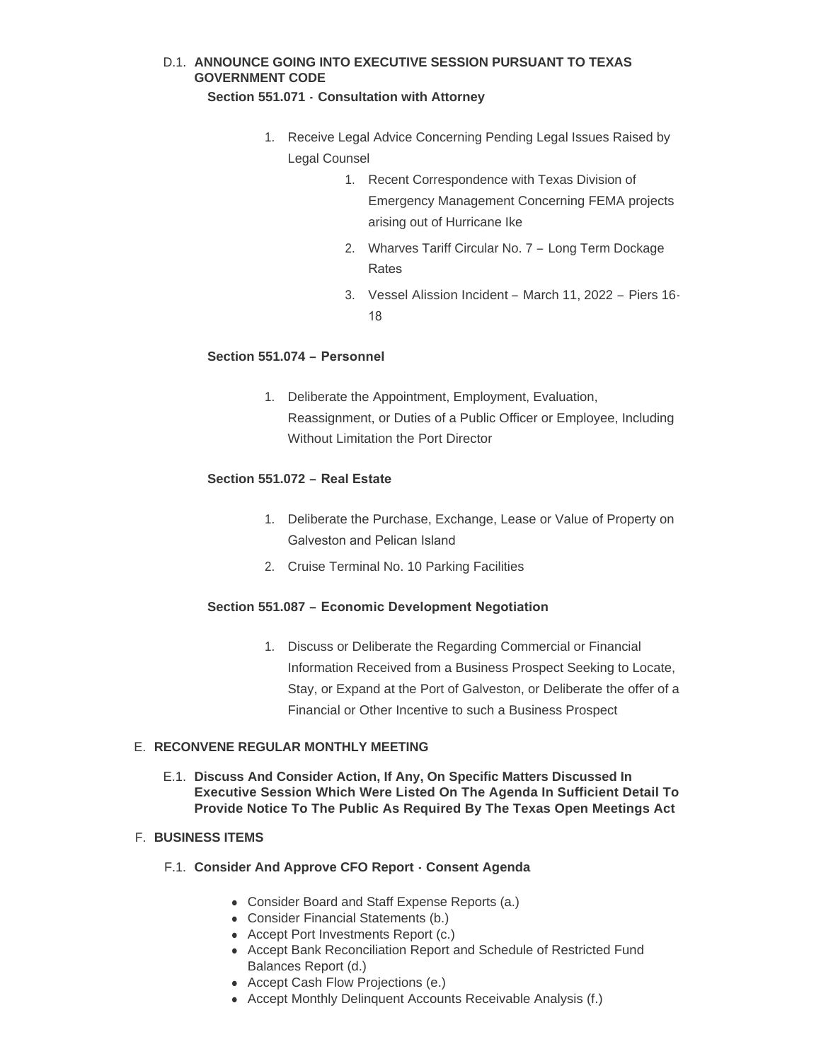# D.1. ANNOUNCE GOING INTO EXECUTIVE SESSION PURSUANT TO TEXAS **GOVERNMENT CODE**

## **Section 551.071 - Consultation with Attorney**

- 1. Receive Legal Advice Concerning Pending Legal Issues Raised by Legal Counsel
	- 1. Recent Correspondence with Texas Division of Emergency Management Concerning FEMA projects arising out of Hurricane Ike
	- 2. Wharves Tariff Circular No. 7 Long Term Dockage Rates
	- 3. Vessel Alission Incident March 11, 2022 Piers 16- 18

# **Section 551.074 – Personnel**

1. Deliberate the Appointment, Employment, Evaluation, Reassignment, or Duties of a Public Officer or Employee, Including Without Limitation the Port Director

# **Section 551.072 – Real Estate**

- 1. Deliberate the Purchase, Exchange, Lease or Value of Property on Galveston and Pelican Island
- 2. Cruise Terminal No. 10 Parking Facilities

# **Section 551.087 – Economic Development Negotiation**

1. Discuss or Deliberate the Regarding Commercial or Financial Information Received from a Business Prospect Seeking to Locate, Stay, or Expand at the Port of Galveston, or Deliberate the offer of a Financial or Other Incentive to such a Business Prospect

# **RECONVENE REGULAR MONTHLY MEETING** E.

**Discuss And Consider Action, If Any, On Specific Matters Discussed In**  E.1. **Executive Session Which Were Listed On The Agenda In Sufficient Detail To Provide Notice To The Public As Required By The Texas Open Meetings Act** 

# **BUSINESS ITEMS** F.

- **Consider And Approve CFO Report Consent Agenda**  F.1.
	- Consider Board and Staff Expense Reports (a.)
	- Consider Financial Statements (b.)
	- Accept Port Investments Report (c.)
	- Accept Bank Reconciliation Report and Schedule of Restricted Fund Balances Report (d.)
	- Accept Cash Flow Projections (e.)
	- Accept Monthly Delinquent Accounts Receivable Analysis (f.)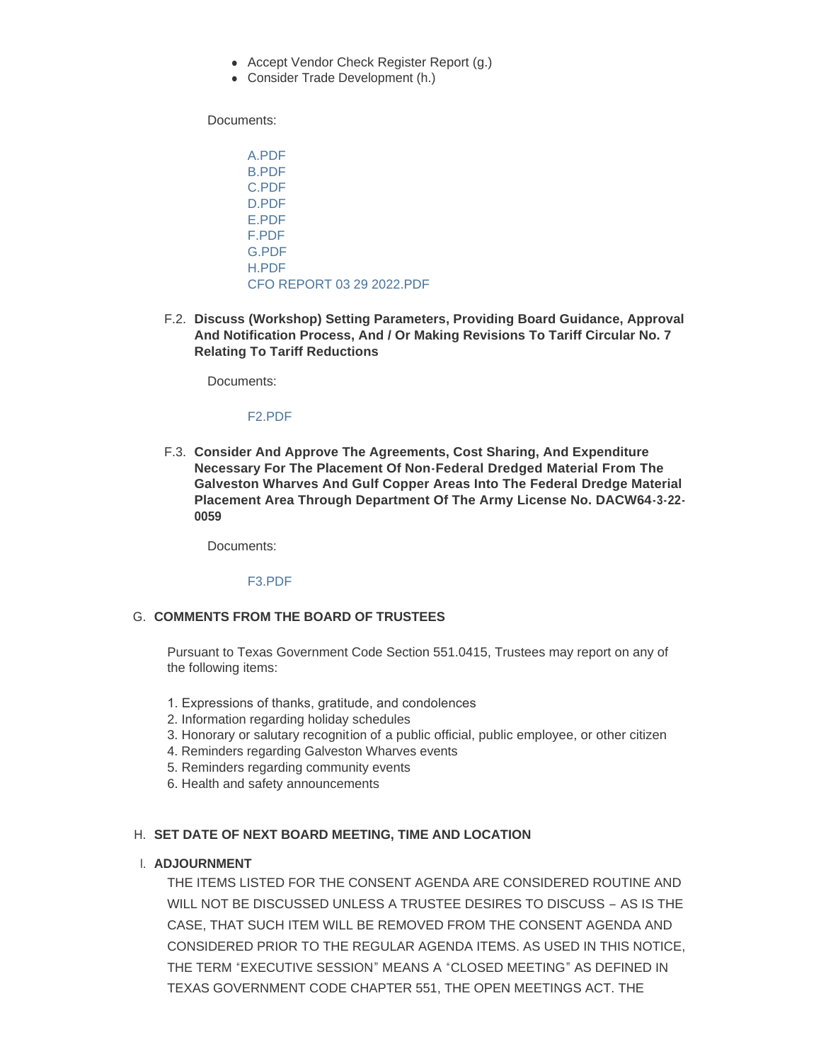- Accept Vendor Check Register Report (g.)
- Consider Trade Development (h.)

Documents:

[A.PDF](https://www.portofgalveston.com/AgendaCenter/ViewFile/Item/4752?fileID=8435) [B.PDF](https://www.portofgalveston.com/AgendaCenter/ViewFile/Item/4752?fileID=8436) [C.PDF](https://www.portofgalveston.com/AgendaCenter/ViewFile/Item/4752?fileID=8437) [D.PDF](https://www.portofgalveston.com/AgendaCenter/ViewFile/Item/4752?fileID=8438) [E.PDF](https://www.portofgalveston.com/AgendaCenter/ViewFile/Item/4752?fileID=8439) [F.PDF](https://www.portofgalveston.com/AgendaCenter/ViewFile/Item/4752?fileID=8440) [G.PDF](https://www.portofgalveston.com/AgendaCenter/ViewFile/Item/4752?fileID=8441) [H.PDF](https://www.portofgalveston.com/AgendaCenter/ViewFile/Item/4752?fileID=8442) [CFO REPORT 03 29 2022.PDF](https://www.portofgalveston.com/AgendaCenter/ViewFile/Item/4752?fileID=8462)

**Discuss (Workshop) Setting Parameters, Providing Board Guidance, Approval**  F.2. **And Notification Process, And / Or Making Revisions To Tariff Circular No. 7 Relating To Tariff Reductions** 

Documents:

#### [F2.PDF](https://www.portofgalveston.com/AgendaCenter/ViewFile/Item/4751?fileID=8444)

**Consider And Approve The Agreements, Cost Sharing, And Expenditure**  F.3. **Necessary For The Placement Of Non-Federal Dredged Material From The Galveston Wharves And Gulf Copper Areas Into The Federal Dredge Material Placement Area Through Department Of The Army License No. DACW64-3-22- 0059**

Documents:

#### [F3.PDF](https://www.portofgalveston.com/AgendaCenter/ViewFile/Item/4754?fileID=8443)

## G. COMMENTS FROM THE BOARD OF TRUSTEES

Pursuant to Texas Government Code Section 551.0415, Trustees may report on any of the following items:

- 1. Expressions of thanks, gratitude, and condolences
- 2. Information regarding holiday schedules
- 3. Honorary or salutary recognition of a public official, public employee, or other citizen
- 4. Reminders regarding Galveston Wharves events
- 5. Reminders regarding community events
- 6. Health and safety announcements

# **SET DATE OF NEXT BOARD MEETING, TIME AND LOCATION** H.

## **ADJOURNMENT** I.

THE ITEMS LISTED FOR THE CONSENT AGENDA ARE CONSIDERED ROUTINE AND WILL NOT BE DISCUSSED UNLESS A TRUSTEE DESIRES TO DISCUSS – AS IS THE CASE, THAT SUCH ITEM WILL BE REMOVED FROM THE CONSENT AGENDA AND CONSIDERED PRIOR TO THE REGULAR AGENDA ITEMS. AS USED IN THIS NOTICE, THE TERM "EXECUTIVE SESSION" MEANS A "CLOSED MEETING" AS DEFINED IN TEXAS GOVERNMENT CODE CHAPTER 551, THE OPEN MEETINGS ACT. THE